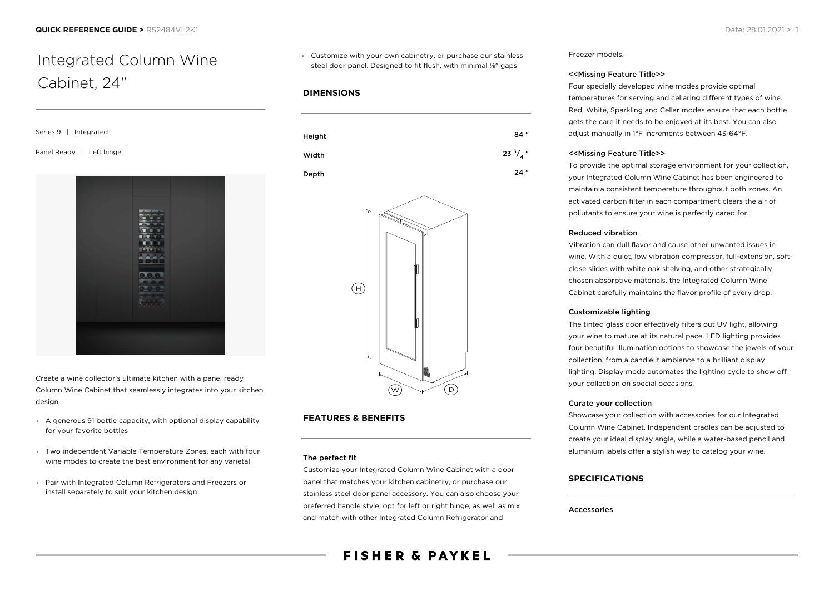# Integrated Column Wine Cabinet, 24"

Series 9 | Integrated

Panel Ready | Left hinge



Create a wine collector's ultimate kitchen with a panel ready Column Wine Cabinet that seamlessly integrates into your kitchen design.

- A generous 91 bottle capacity, with optional display capability for your favorite bottles
- Two independent Variable Temperature Zones, each with four wine modes to create the best environment for any varietal
- Pair with Integrated Column Refrigerators and Freezers or install separately to suit your kitchen design

Customize with your own cabinetry, or purchase our stainless steel door panel. Designed to fit flush, with minimal ¼" gaps

## **DIMENSIONS**



#### Depth 24 "



# **FEATURES & BENEFITS**

#### The perfect fit

Customize your Integrated Column Wine Cabinet with a door panel that matches your kitchen cabinetry, or purchase our stainless steel door panel accessory. You can also choose your preferred handle style, opt for left or right hinge, as well as mix and match with other Integrated Column Refrigerator and

Freezer models.

#### <<Missing Feature Title>>

Four specially developed wine modes provide optimal temperatures for serving and cellaring different types of wine. Red, White, Sparkling and Cellar modes ensure that each bottle gets the care it needs to be enjoyed at its best. You can also adjust manually in 1°F increments between 43-64°F.

#### <<Missing Feature Title>>

To provide the optimal storage environment for your collection, your Integrated Column Wine Cabinet has been engineered to maintain a consistent temperature throughout both zones. An activated carbon filter in each compartment clears the air of pollutants to ensure your wine is perfectly cared for.

#### Reduced vibration

Vibration can dull flavor and cause other unwanted issues in wine. With a quiet, low vibration compressor, full-extension, softclose slides with white oak shelving, and other strategically chosen absorptive materials, the Integrated Column Wine Cabinet carefully maintains the flavor profile of every drop.

#### Customizable lighting

The tinted glass door effectively filters out UV light, allowing your wine to mature at its natural pace. LED lighting provides four beautiful illumination options to showcase the jewels of your collection, from a candlelit ambiance to a brilliant display lighting. Display mode automates the lighting cycle to show off your collection on special occasions.

#### Curate your collection

Showcase your collection with accessories for our Integrated Column Wine Cabinet. Independent cradles can be adjusted to create your ideal display angle, while a water-based pencil and aluminium labels offer a stylish way to catalog your wine.

### **SPECIFICATIONS**

#### Accessories

**FISHER & PAYKEL**